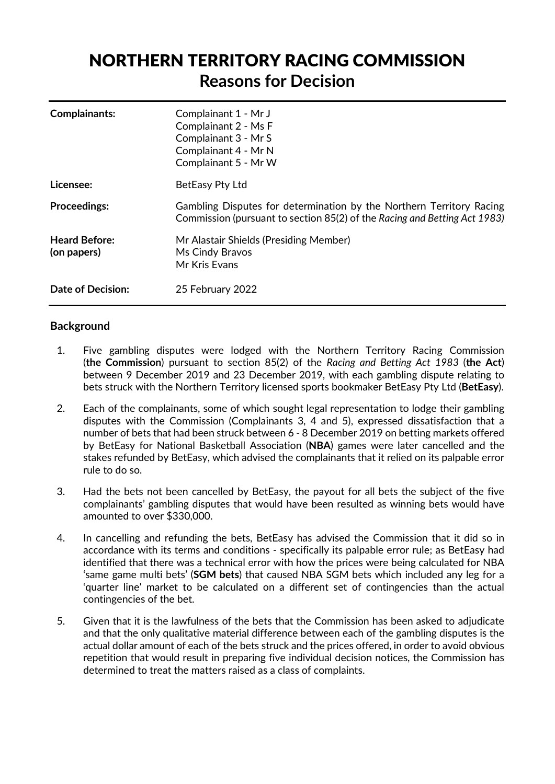# NORTHERN TERRITORY RACING COMMISSION **Reasons for Decision**

| Complainants:                       | Complainant 1 - Mr J<br>Complainant 2 - Ms F<br>Complainant 3 - Mr S<br>Complainant 4 - Mr N<br>Complainant 5 - Mr W                              |  |
|-------------------------------------|---------------------------------------------------------------------------------------------------------------------------------------------------|--|
| Licensee:                           | BetEasy Pty Ltd                                                                                                                                   |  |
| <b>Proceedings:</b>                 | Gambling Disputes for determination by the Northern Territory Racing<br>Commission (pursuant to section 85(2) of the Racing and Betting Act 1983) |  |
| <b>Heard Before:</b><br>(on papers) | Mr Alastair Shields (Presiding Member)<br>Ms Cindy Bravos<br>Mr Kris Evans                                                                        |  |
| <b>Date of Decision:</b>            | 25 February 2022                                                                                                                                  |  |

# **Background**

- 1. Five gambling disputes were lodged with the Northern Territory Racing Commission (**the Commission**) pursuant to section 85(2) of the *Racing and Betting Act 1983* (**the Act**) between 9 December 2019 and 23 December 2019, with each gambling dispute relating to bets struck with the Northern Territory licensed sports bookmaker BetEasy Pty Ltd (**BetEasy**).
- 2. Each of the complainants, some of which sought legal representation to lodge their gambling disputes with the Commission (Complainants 3, 4 and 5), expressed dissatisfaction that a number of bets that had been struck between 6 - 8 December 2019 on betting markets offered by BetEasy for National Basketball Association (**NBA**) games were later cancelled and the stakes refunded by BetEasy, which advised the complainants that it relied on its palpable error rule to do so.
- 3. Had the bets not been cancelled by BetEasy, the payout for all bets the subject of the five complainants' gambling disputes that would have been resulted as winning bets would have amounted to over \$330,000.
- 4. In cancelling and refunding the bets, BetEasy has advised the Commission that it did so in accordance with its terms and conditions - specifically its palpable error rule; as BetEasy had identified that there was a technical error with how the prices were being calculated for NBA 'same game multi bets' (**SGM bets**) that caused NBA SGM bets which included any leg for a 'quarter line' market to be calculated on a different set of contingencies than the actual contingencies of the bet.
- 5. Given that it is the lawfulness of the bets that the Commission has been asked to adjudicate and that the only qualitative material difference between each of the gambling disputes is the actual dollar amount of each of the bets struck and the prices offered, in order to avoid obvious repetition that would result in preparing five individual decision notices, the Commission has determined to treat the matters raised as a class of complaints.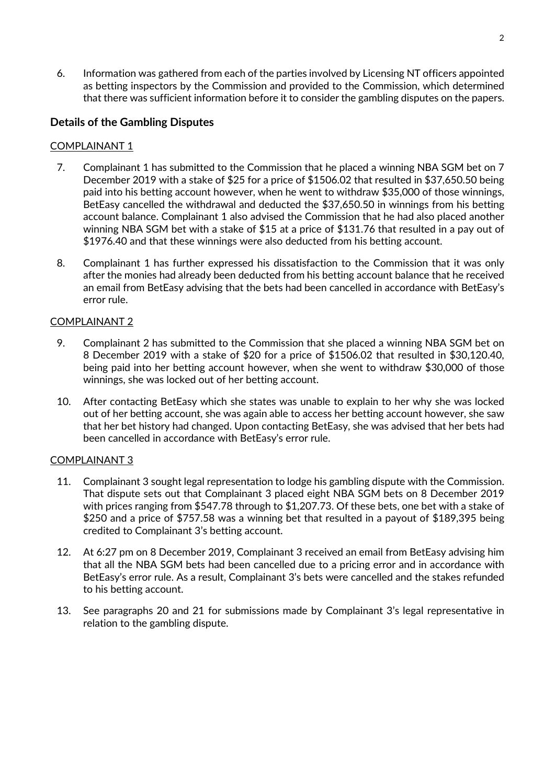6. Information was gathered from each of the parties involved by Licensing NT officers appointed as betting inspectors by the Commission and provided to the Commission, which determined that there was sufficient information before it to consider the gambling disputes on the papers.

# **Details of the Gambling Disputes**

# COMPLAINANT 1

- 7. Complainant 1 has submitted to the Commission that he placed a winning NBA SGM bet on 7 December 2019 with a stake of \$25 for a price of \$1506.02 that resulted in \$37,650.50 being paid into his betting account however, when he went to withdraw \$35,000 of those winnings, BetEasy cancelled the withdrawal and deducted the \$37,650.50 in winnings from his betting account balance. Complainant 1 also advised the Commission that he had also placed another winning NBA SGM bet with a stake of \$15 at a price of \$131.76 that resulted in a pay out of \$1976.40 and that these winnings were also deducted from his betting account.
- 8. Complainant 1 has further expressed his dissatisfaction to the Commission that it was only after the monies had already been deducted from his betting account balance that he received an email from BetEasy advising that the bets had been cancelled in accordance with BetEasy's error rule.

# COMPLAINANT 2

- 9. Complainant 2 has submitted to the Commission that she placed a winning NBA SGM bet on 8 December 2019 with a stake of \$20 for a price of \$1506.02 that resulted in \$30,120.40, being paid into her betting account however, when she went to withdraw \$30,000 of those winnings, she was locked out of her betting account.
- 10. After contacting BetEasy which she states was unable to explain to her why she was locked out of her betting account, she was again able to access her betting account however, she saw that her bet history had changed. Upon contacting BetEasy, she was advised that her bets had been cancelled in accordance with BetEasy's error rule.

# COMPLAINANT 3

- 11. Complainant 3 sought legal representation to lodge his gambling dispute with the Commission. That dispute sets out that Complainant 3 placed eight NBA SGM bets on 8 December 2019 with prices ranging from \$547.78 through to \$1,207.73. Of these bets, one bet with a stake of \$250 and a price of \$757.58 was a winning bet that resulted in a payout of \$189,395 being credited to Complainant 3's betting account.
- 12. At 6:27 pm on 8 December 2019, Complainant 3 received an email from BetEasy advising him that all the NBA SGM bets had been cancelled due to a pricing error and in accordance with BetEasy's error rule. As a result, Complainant 3's bets were cancelled and the stakes refunded to his betting account.
- 13. See paragraphs 20 and 21 for submissions made by Complainant 3's legal representative in relation to the gambling dispute.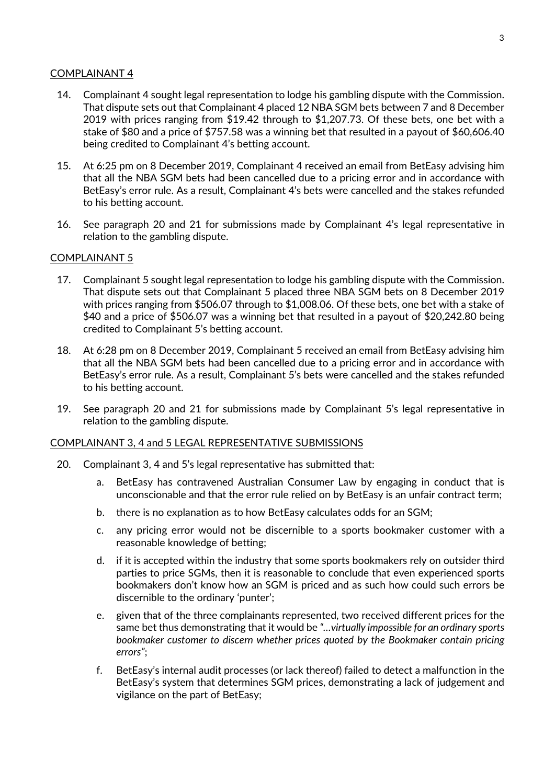# COMPLAINANT 4

- 14. Complainant 4 sought legal representation to lodge his gambling dispute with the Commission. That dispute sets out that Complainant 4 placed 12 NBA SGM bets between 7 and 8 December 2019 with prices ranging from \$19.42 through to \$1,207.73. Of these bets, one bet with a stake of \$80 and a price of \$757.58 was a winning bet that resulted in a payout of \$60,606.40 being credited to Complainant 4's betting account.
- 15. At 6:25 pm on 8 December 2019, Complainant 4 received an email from BetEasy advising him that all the NBA SGM bets had been cancelled due to a pricing error and in accordance with BetEasy's error rule. As a result, Complainant 4's bets were cancelled and the stakes refunded to his betting account.
- 16. See paragraph 20 and 21 for submissions made by Complainant 4's legal representative in relation to the gambling dispute.

#### COMPLAINANT 5

- 17. Complainant 5 sought legal representation to lodge his gambling dispute with the Commission. That dispute sets out that Complainant 5 placed three NBA SGM bets on 8 December 2019 with prices ranging from \$506.07 through to \$1,008.06. Of these bets, one bet with a stake of \$40 and a price of \$506.07 was a winning bet that resulted in a payout of \$20,242.80 being credited to Complainant 5's betting account.
- 18. At 6:28 pm on 8 December 2019, Complainant 5 received an email from BetEasy advising him that all the NBA SGM bets had been cancelled due to a pricing error and in accordance with BetEasy's error rule. As a result, Complainant 5's bets were cancelled and the stakes refunded to his betting account.
- 19. See paragraph 20 and 21 for submissions made by Complainant 5's legal representative in relation to the gambling dispute.

#### COMPLAINANT 3, 4 and 5 LEGAL REPRESENTATIVE SUBMISSIONS

- 20. Complainant 3, 4 and 5's legal representative has submitted that:
	- a. BetEasy has contravened Australian Consumer Law by engaging in conduct that is unconscionable and that the error rule relied on by BetEasy is an unfair contract term;
	- b. there is no explanation as to how BetEasy calculates odds for an SGM;
	- c. any pricing error would not be discernible to a sports bookmaker customer with a reasonable knowledge of betting;
	- d. if it is accepted within the industry that some sports bookmakers rely on outsider third parties to price SGMs, then it is reasonable to conclude that even experienced sports bookmakers don't know how an SGM is priced and as such how could such errors be discernible to the ordinary 'punter';
	- e. given that of the three complainants represented, two received different prices for the same bet thus demonstrating that it would be *"…virtually impossible for an ordinary sports bookmaker customer to discern whether prices quoted by the Bookmaker contain pricing errors"*;
	- f. BetEasy's internal audit processes (or lack thereof) failed to detect a malfunction in the BetEasy's system that determines SGM prices, demonstrating a lack of judgement and vigilance on the part of BetEasy;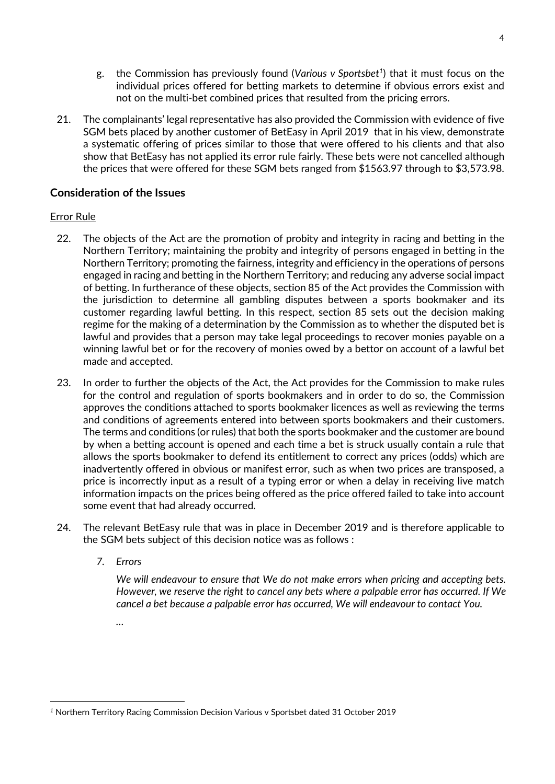- g. the Commission has previously found (*Various v Sportsbet<sup>1</sup>* ) that it must focus on the individual prices offered for betting markets to determine if obvious errors exist and not on the multi-bet combined prices that resulted from the pricing errors.
- 21. The complainants' legal representative has also provided the Commission with evidence of five SGM bets placed by another customer of BetEasy in April 2019 that in his view, demonstrate a systematic offering of prices similar to those that were offered to his clients and that also show that BetEasy has not applied its error rule fairly. These bets were not cancelled although the prices that were offered for these SGM bets ranged from \$1563.97 through to \$3,573.98.

# **Consideration of the Issues**

# Error Rule

- 22. The objects of the Act are the promotion of probity and integrity in racing and betting in the Northern Territory; maintaining the probity and integrity of persons engaged in betting in the Northern Territory; promoting the fairness, integrity and efficiency in the operations of persons engaged in racing and betting in the Northern Territory; and reducing any adverse social impact of betting. In furtherance of these objects, section 85 of the Act provides the Commission with the jurisdiction to determine all gambling disputes between a sports bookmaker and its customer regarding lawful betting. In this respect, section 85 sets out the decision making regime for the making of a determination by the Commission as to whether the disputed bet is lawful and provides that a person may take legal proceedings to recover monies payable on a winning lawful bet or for the recovery of monies owed by a bettor on account of a lawful bet made and accepted.
- 23. In order to further the objects of the Act, the Act provides for the Commission to make rules for the control and regulation of sports bookmakers and in order to do so, the Commission approves the conditions attached to sports bookmaker licences as well as reviewing the terms and conditions of agreements entered into between sports bookmakers and their customers. The terms and conditions (or rules) that both the sports bookmaker and the customer are bound by when a betting account is opened and each time a bet is struck usually contain a rule that allows the sports bookmaker to defend its entitlement to correct any prices (odds) which are inadvertently offered in obvious or manifest error, such as when two prices are transposed, a price is incorrectly input as a result of a typing error or when a delay in receiving live match information impacts on the prices being offered as the price offered failed to take into account some event that had already occurred.
- 24. The relevant BetEasy rule that was in place in December 2019 and is therefore applicable to the SGM bets subject of this decision notice was as follows :
	- *7. Errors*

 *We will endeavour to ensure that We do not make errors when pricing and accepting bets. However, we reserve the right to cancel any bets where a palpable error has occurred. If We cancel a bet because a palpable error has occurred, We will endeavour to contact You.* 

 *…* 

*<sup>1</sup>* Northern Territory Racing Commission Decision Various v Sportsbet dated 31 October 2019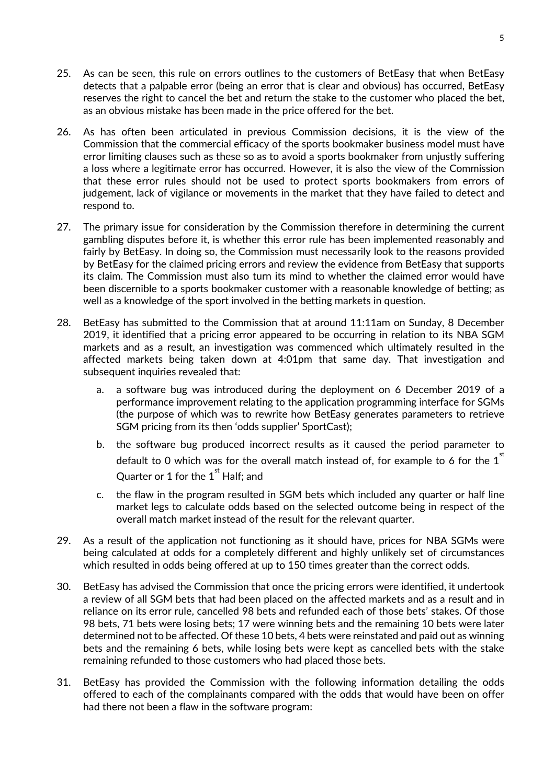- 25. As can be seen, this rule on errors outlines to the customers of BetEasy that when BetEasy detects that a palpable error (being an error that is clear and obvious) has occurred, BetEasy reserves the right to cancel the bet and return the stake to the customer who placed the bet, as an obvious mistake has been made in the price offered for the bet.
- 26. As has often been articulated in previous Commission decisions, it is the view of the Commission that the commercial efficacy of the sports bookmaker business model must have error limiting clauses such as these so as to avoid a sports bookmaker from unjustly suffering a loss where a legitimate error has occurred. However, it is also the view of the Commission that these error rules should not be used to protect sports bookmakers from errors of judgement, lack of vigilance or movements in the market that they have failed to detect and respond to.
- 27. The primary issue for consideration by the Commission therefore in determining the current gambling disputes before it, is whether this error rule has been implemented reasonably and fairly by BetEasy. In doing so, the Commission must necessarily look to the reasons provided by BetEasy for the claimed pricing errors and review the evidence from BetEasy that supports its claim. The Commission must also turn its mind to whether the claimed error would have been discernible to a sports bookmaker customer with a reasonable knowledge of betting; as well as a knowledge of the sport involved in the betting markets in question.
- 28. BetEasy has submitted to the Commission that at around 11:11am on Sunday, 8 December 2019, it identified that a pricing error appeared to be occurring in relation to its NBA SGM markets and as a result, an investigation was commenced which ultimately resulted in the affected markets being taken down at 4:01pm that same day. That investigation and subsequent inquiries revealed that:
	- a. a software bug was introduced during the deployment on 6 December 2019 of a performance improvement relating to the application programming interface for SGMs (the purpose of which was to rewrite how BetEasy generates parameters to retrieve SGM pricing from its then 'odds supplier' SportCast);
	- b. the software bug produced incorrect results as it caused the period parameter to default to 0 which was for the overall match instead of, for example to 6 for the  $1<sup>st</sup>$ Quarter or 1 for the  $1<sup>st</sup>$  Half: and
	- c. the flaw in the program resulted in SGM bets which included any quarter or half line market legs to calculate odds based on the selected outcome being in respect of the overall match market instead of the result for the relevant quarter.
- 29. As a result of the application not functioning as it should have, prices for NBA SGMs were being calculated at odds for a completely different and highly unlikely set of circumstances which resulted in odds being offered at up to 150 times greater than the correct odds.
- 30. BetEasy has advised the Commission that once the pricing errors were identified, it undertook a review of all SGM bets that had been placed on the affected markets and as a result and in reliance on its error rule, cancelled 98 bets and refunded each of those bets' stakes. Of those 98 bets, 71 bets were losing bets; 17 were winning bets and the remaining 10 bets were later determined not to be affected. Of these 10 bets, 4 bets were reinstated and paid out as winning bets and the remaining 6 bets, while losing bets were kept as cancelled bets with the stake remaining refunded to those customers who had placed those bets.
- 31. BetEasy has provided the Commission with the following information detailing the odds offered to each of the complainants compared with the odds that would have been on offer had there not been a flaw in the software program: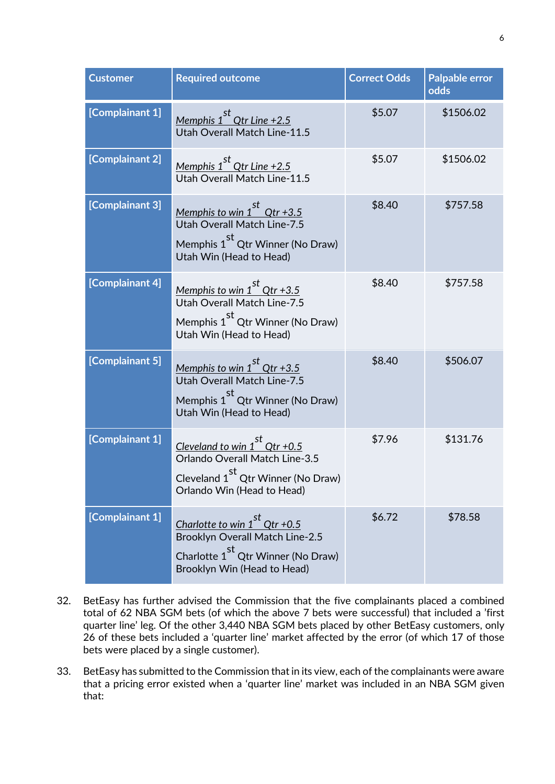| <b>Customer</b> | <b>Required outcome</b>                                                                                                                                            | <b>Correct Odds</b> | <b>Palpable error</b><br>odds |
|-----------------|--------------------------------------------------------------------------------------------------------------------------------------------------------------------|---------------------|-------------------------------|
| [Complainant 1] | Memphis $1st$ Qtr Line +2.5<br>Utah Overall Match Line-11.5                                                                                                        | \$5.07              | \$1506.02                     |
| [Complainant 2] | Memphis 1 <sup>st</sup> Qtr Line +2.5<br>Utah Overall Match Line-11.5                                                                                              | \$5.07              | \$1506.02                     |
| [Complainant 3] | <u>Memphis to win 1<sup>st</sup> Qtr +3.5</u><br>Utah Overall Match Line-7.5<br>Memphis 1 <sup>st</sup> Qtr Winner (No Draw)<br>Utah Win (Head to Head)            | \$8.40              | \$757.58                      |
| [Complainant 4] | <u>Memphis to win <math>1^{st}</math> Qtr +3.5</u><br>Utah Overall Match Line-7.5<br>Memphis 1 <sup>st</sup> Qtr Winner (No Draw)<br>Utah Win (Head to Head)       | \$8.40              | \$757.58                      |
| [Complainant 5] | <u>Memphis to win 1<sup>st</sup> Qtr +3.5</u><br><b>Utah Overall Match Line-7.5</b><br>Memphis 1 <sup>st</sup> Qtr Winner (No Draw)<br>Utah Win (Head to Head)     | \$8.40              | \$506.07                      |
| [Complainant 1] | Cleveland to win $1^{st}$ Qtr +0.5<br>Orlando Overall Match Line-3.5<br>Cleveland 1 <sup>st</sup> Qtr Winner (No Draw)<br>Orlando Win (Head to Head)               | \$7.96              | \$131.76                      |
| [Complainant 1] | Charlotte to win $1^{st}$ Qtr +0.5<br><b>Brooklyn Overall Match Line-2.5</b><br>st<br>Charlotte 1 <sup>3</sup> Qtr Winner (No Draw)<br>Brooklyn Win (Head to Head) | \$6.72              | \$78.58                       |

- 32. BetEasy has further advised the Commission that the five complainants placed a combined total of 62 NBA SGM bets (of which the above 7 bets were successful) that included a 'first quarter line' leg. Of the other 3,440 NBA SGM bets placed by other BetEasy customers, only 26 of these bets included a 'quarter line' market affected by the error (of which 17 of those bets were placed by a single customer).
- 33. BetEasy has submitted to the Commission that in its view, each of the complainants were aware that a pricing error existed when a 'quarter line' market was included in an NBA SGM given that: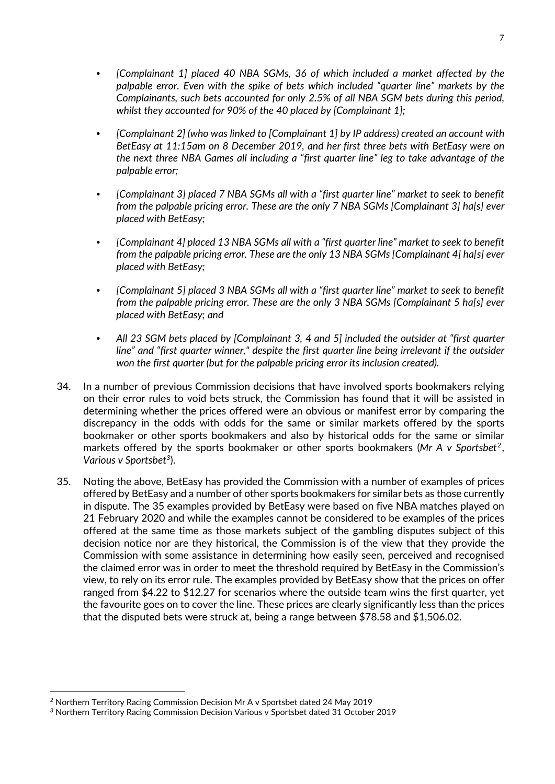- *[Complainant 1] placed 40 NBA SGMs, 36 of which included a market affected by the palpable error. Even with the spike of bets which included "quarter line" markets by the Complainants, such bets accounted for only 2.5% of all NBA SGM bets during this period, whilst they accounted for 90% of the 40 placed by [Complainant 1];*
- *[Complainant 2] (who was linked to [Complainant 1] by IP address) created an account with BetEasy at 11:15am on 8 December 2019, and her first three bets with BetEasy were on the next three NBA Games all including a "first quarter line" leg to take advantage of the palpable error;*
- *[Complainant 3] placed 7 NBA SGMs all with a "first quarter line" market to seek to benefit from the palpable pricing error. These are the only 7 NBA SGMs [Complainant 3] ha[s] ever placed with BetEasy;*
- *[Complainant 4] placed 13 NBA SGMs all with a "first quarter line" market to seek to benefit from the palpable pricing error. These are the only 13 NBA SGMs [Complainant 4] ha[s] ever placed with BetEasy;*
- *[Complainant 5] placed 3 NBA SGMs all with a "first quarter line" market to seek to benefit from the palpable pricing error. These are the only 3 NBA SGMs [Complainant 5 ha[s] ever placed with BetEasy; and*
- *All 23 SGM bets placed by [Complainant 3, 4 and 5] included the outsider at "first quarter line" and "first quarter winner," despite the first quarter line being irrelevant if the outsider won the first quarter (but for the palpable pricing error its inclusion created).*
- 34. In a number of previous Commission decisions that have involved sports bookmakers relying on their error rules to void bets struck, the Commission has found that it will be assisted in determining whether the prices offered were an obvious or manifest error by comparing the discrepancy in the odds with odds for the same or similar markets offered by the sports bookmaker or other sports bookmakers and also by historical odds for the same or similar markets offered by the sports bookmaker or other sports bookmakers (*Mr A v Sportsbet<sup>2</sup>* , *Various v Sportsbet<sup>3</sup>* ).
- 35. Noting the above, BetEasy has provided the Commission with a number of examples of prices offered by BetEasy and a number of other sports bookmakers for similar bets as those currently in dispute. The 35 examples provided by BetEasy were based on five NBA matches played on 21 February 2020 and while the examples cannot be considered to be examples of the prices offered at the same time as those markets subject of the gambling disputes subject of this decision notice nor are they historical, the Commission is of the view that they provide the Commission with some assistance in determining how easily seen, perceived and recognised the claimed error was in order to meet the threshold required by BetEasy in the Commission's view, to rely on its error rule. The examples provided by BetEasy show that the prices on offer ranged from \$4.22 to \$12.27 for scenarios where the outside team wins the first quarter, yet the favourite goes on to cover the line. These prices are clearly significantly less than the prices that the disputed bets were struck at, being a range between \$78.58 and \$1,506.02.

*<sup>2</sup>* Northern Territory Racing Commission Decision Mr A v Sportsbet dated 24 May 2019

*<sup>3</sup>* Northern Territory Racing Commission Decision Various v Sportsbet dated 31 October 2019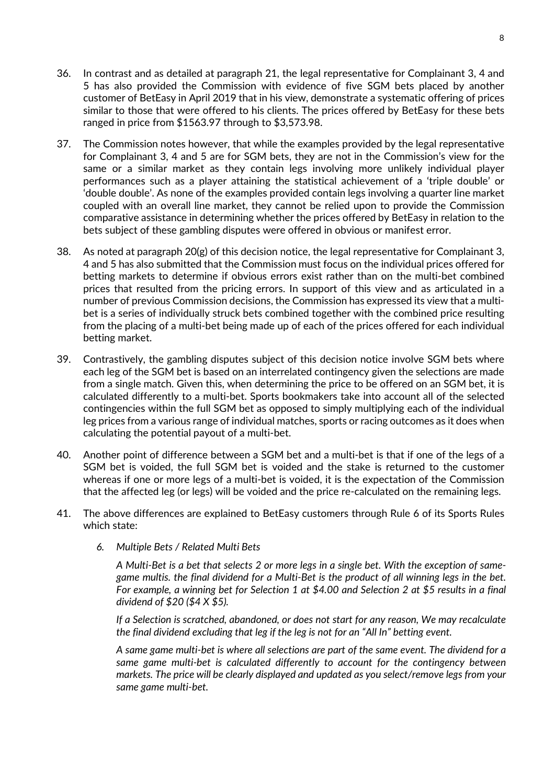- 36. In contrast and as detailed at paragraph 21, the legal representative for Complainant 3, 4 and 5 has also provided the Commission with evidence of five SGM bets placed by another customer of BetEasy in April 2019 that in his view, demonstrate a systematic offering of prices similar to those that were offered to his clients. The prices offered by BetEasy for these bets ranged in price from \$1563.97 through to \$3,573.98.
- 37. The Commission notes however, that while the examples provided by the legal representative for Complainant 3, 4 and 5 are for SGM bets, they are not in the Commission's view for the same or a similar market as they contain legs involving more unlikely individual player performances such as a player attaining the statistical achievement of a 'triple double' or 'double double'. As none of the examples provided contain legs involving a quarter line market coupled with an overall line market, they cannot be relied upon to provide the Commission comparative assistance in determining whether the prices offered by BetEasy in relation to the bets subject of these gambling disputes were offered in obvious or manifest error.
- 38. As noted at paragraph 20(g) of this decision notice, the legal representative for Complainant 3, 4 and 5 has also submitted that the Commission must focus on the individual prices offered for betting markets to determine if obvious errors exist rather than on the multi-bet combined prices that resulted from the pricing errors. In support of this view and as articulated in a number of previous Commission decisions, the Commission has expressed its view that a multibet is a series of individually struck bets combined together with the combined price resulting from the placing of a multi-bet being made up of each of the prices offered for each individual betting market.
- 39. Contrastively, the gambling disputes subject of this decision notice involve SGM bets where each leg of the SGM bet is based on an interrelated contingency given the selections are made from a single match. Given this, when determining the price to be offered on an SGM bet, it is calculated differently to a multi-bet. Sports bookmakers take into account all of the selected contingencies within the full SGM bet as opposed to simply multiplying each of the individual leg prices from a various range of individual matches, sports or racing outcomes as it does when calculating the potential payout of a multi-bet.
- 40. Another point of difference between a SGM bet and a multi-bet is that if one of the legs of a SGM bet is voided, the full SGM bet is voided and the stake is returned to the customer whereas if one or more legs of a multi-bet is voided, it is the expectation of the Commission that the affected leg (or legs) will be voided and the price re-calculated on the remaining legs.
- 41. The above differences are explained to BetEasy customers through Rule 6 of its Sports Rules which state:
	- *6. Multiple Bets / Related Multi Bets*

 *A Multi-Bet is a bet that selects 2 or more legs in a single bet. With the exception of samegame multis. the final dividend for a Multi-Bet is the product of all winning legs in the bet. For example, a winning bet for Selection 1 at \$4.00 and Selection 2 at \$5 results in a final dividend of \$20 (\$4 X \$5).* 

 *If a Selection is scratched, abandoned, or does not start for any reason, We may recalculate the final dividend excluding that leg if the leg is not for an "All In" betting event.* 

 *A same game multi-bet is where all selections are part of the same event. The dividend for a same game multi-bet is calculated differently to account for the contingency between markets. The price will be clearly displayed and updated as you select/remove legs from your same game multi-bet.*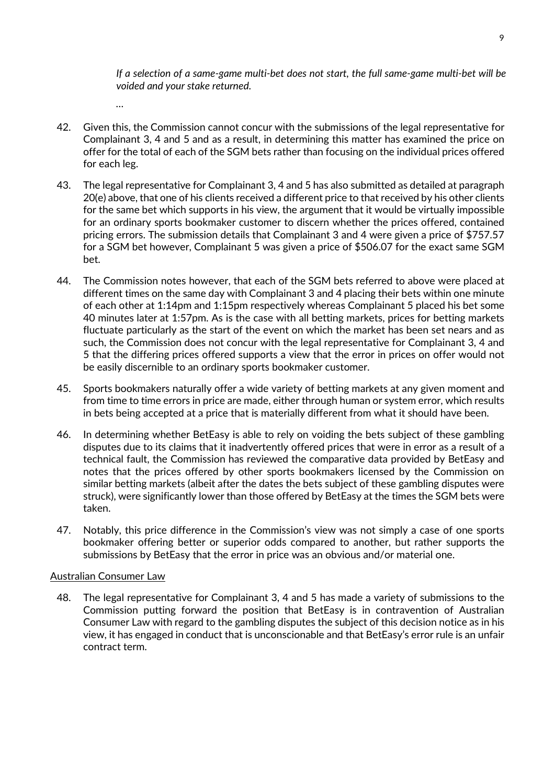*If a selection of a same-game multi-bet does not start, the full same-game multi-bet will be voided and your stake returned.* 

- 42. Given this, the Commission cannot concur with the submissions of the legal representative for Complainant 3, 4 and 5 and as a result, in determining this matter has examined the price on offer for the total of each of the SGM bets rather than focusing on the individual prices offered for each leg.
- 43. The legal representative for Complainant 3, 4 and 5 has also submitted as detailed at paragraph 20(e) above, that one of his clients received a different price to that received by his other clients for the same bet which supports in his view, the argument that it would be virtually impossible for an ordinary sports bookmaker customer to discern whether the prices offered, contained pricing errors. The submission details that Complainant 3 and 4 were given a price of \$757.57 for a SGM bet however, Complainant 5 was given a price of \$506.07 for the exact same SGM bet.
- 44. The Commission notes however, that each of the SGM bets referred to above were placed at different times on the same day with Complainant 3 and 4 placing their bets within one minute of each other at 1:14pm and 1:15pm respectively whereas Complainant 5 placed his bet some 40 minutes later at 1:57pm. As is the case with all betting markets, prices for betting markets fluctuate particularly as the start of the event on which the market has been set nears and as such, the Commission does not concur with the legal representative for Complainant 3, 4 and 5 that the differing prices offered supports a view that the error in prices on offer would not be easily discernible to an ordinary sports bookmaker customer.
- 45. Sports bookmakers naturally offer a wide variety of betting markets at any given moment and from time to time errors in price are made, either through human or system error, which results in bets being accepted at a price that is materially different from what it should have been.
- 46. In determining whether BetEasy is able to rely on voiding the bets subject of these gambling disputes due to its claims that it inadvertently offered prices that were in error as a result of a technical fault, the Commission has reviewed the comparative data provided by BetEasy and notes that the prices offered by other sports bookmakers licensed by the Commission on similar betting markets (albeit after the dates the bets subject of these gambling disputes were struck), were significantly lower than those offered by BetEasy at the times the SGM bets were taken.
- 47. Notably, this price difference in the Commission's view was not simply a case of one sports bookmaker offering better or superior odds compared to another, but rather supports the submissions by BetEasy that the error in price was an obvious and/or material one.

# Australian Consumer Law

 *…* 

48. The legal representative for Complainant 3, 4 and 5 has made a variety of submissions to the Commission putting forward the position that BetEasy is in contravention of Australian Consumer Law with regard to the gambling disputes the subject of this decision notice as in his view, it has engaged in conduct that is unconscionable and that BetEasy's error rule is an unfair contract term.